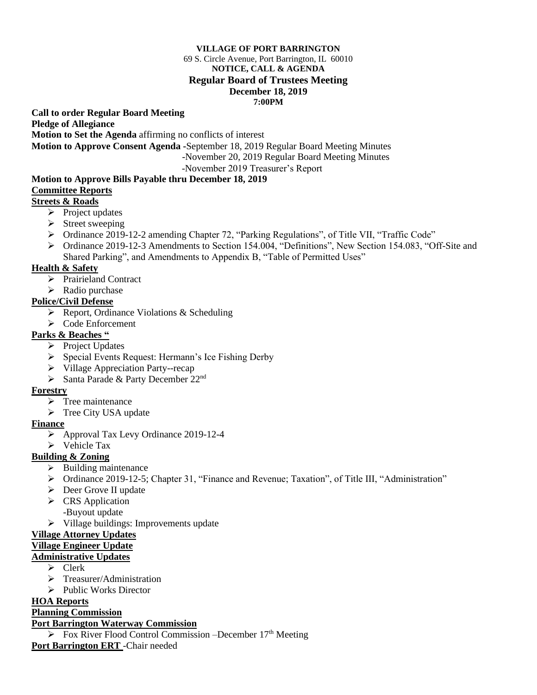#### **VILLAGE OF PORT BARRINGTON**

#### 69 S. Circle Avenue, Port Barrington, IL 60010 **NOTICE, CALL & AGENDA Regular Board of Trustees Meeting December 18, 2019 7:00PM**

**Call to order Regular Board Meeting** 

**Pledge of Allegiance**

**Motion to Set the Agenda** affirming no conflicts of interest

**Motion to Approve Consent Agenda -**September 18, 2019 Regular Board Meeting Minutes

-November 20, 2019 Regular Board Meeting Minutes

-November 2019 Treasurer's Report

#### **Motion to Approve Bills Payable thru December 18, 2019 Committee Reports**

### **Streets & Roads**

- ➢ Project updates
- ➢ Street sweeping
- ➢ Ordinance 2019-12-2 amending Chapter 72, "Parking Regulations", of Title VII, "Traffic Code"
- ➢ Ordinance 2019-12-3 Amendments to Section 154.004, "Definitions", New Section 154.083, "Off-Site and Shared Parking", and Amendments to Appendix B, "Table of Permitted Uses"

## **Health & Safety**

- ➢ Prairieland Contract
- ➢ Radio purchase

### **Police/Civil Defense**

- ➢ Report, Ordinance Violations & Scheduling
- ➢ Code Enforcement

### **Parks & Beaches "**

- ➢ Project Updates
- ➢ Special Events Request: Hermann's Ice Fishing Derby
- ➢ Village Appreciation Party--recap
- $\triangleright$  Santa Parade & Party December 22<sup>nd</sup>

### **Forestry**

- ➢ Tree maintenance
- ➢ Tree City USA update

### **Finance**

- ➢ Approval Tax Levy Ordinance 2019-12-4
- ➢ Vehicle Tax

# **Building & Zoning**

- ➢ Building maintenance
- ➢ Ordinance 2019-12-5; Chapter 31, "Finance and Revenue; Taxation", of Title III, "Administration"
- ➢ Deer Grove II update
- ➢ CRS Application
- -Buyout update
- ➢ Village buildings: Improvements update

### **Village Attorney Updates**

#### **Village Engineer Update**

### **Administrative Updates**

- ➢ Clerk
- ➢ Treasurer/Administration
- ➢ Public Works Director

## **HOA Reports**

### **Planning Commission**

### **Port Barrington Waterway Commission**

 $\triangleright$  Fox River Flood Control Commission –December 17<sup>th</sup> Meeting

**Port Barrington ERT** -Chair needed